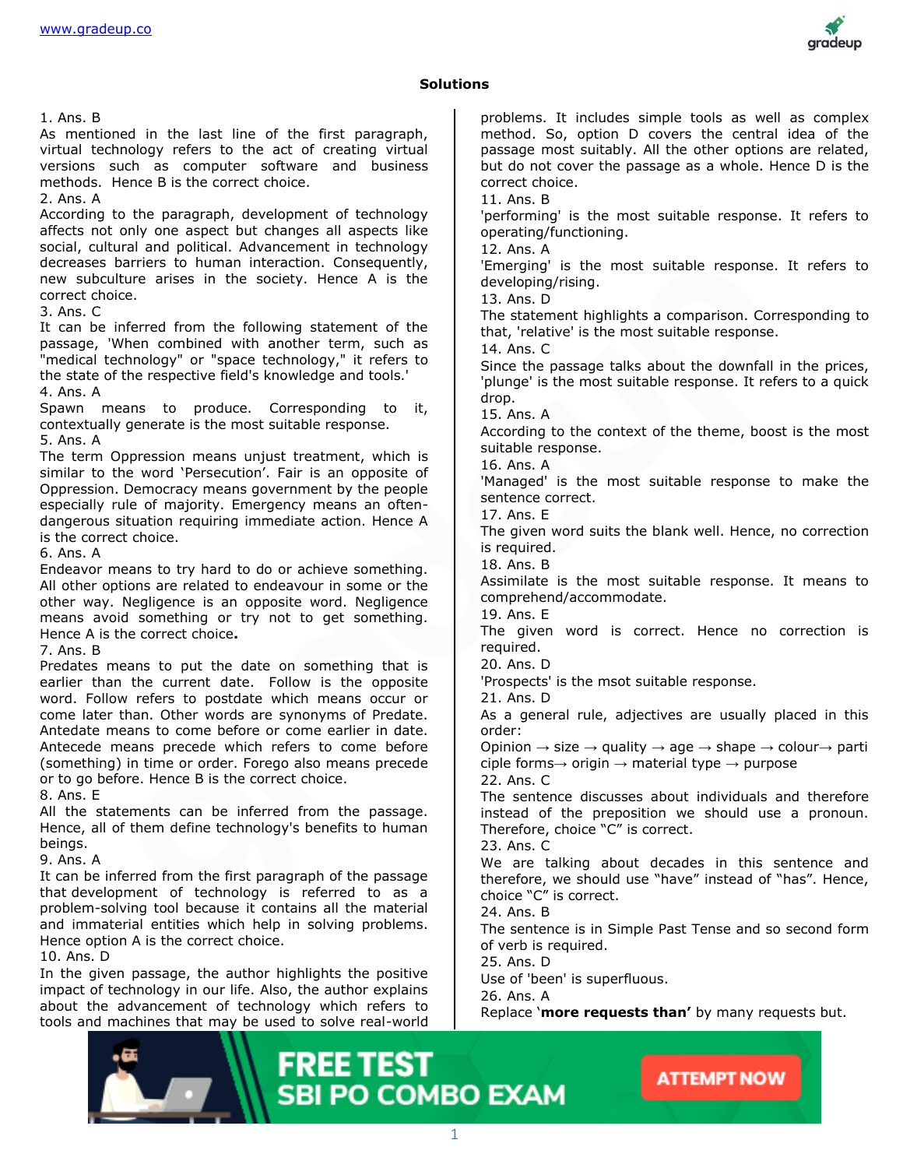

#### **Solutions**

1. Ans. B

As mentioned in the last line of the first paragraph, virtual technology refers to the act of creating virtual versions such as computer software and business methods. Hence B is the correct choice.

2. Ans. A

According to the paragraph, development of technology affects not only one aspect but changes all aspects like social, cultural and political. Advancement in technology decreases barriers to human interaction. Consequently, new subculture arises in the society. Hence A is the correct choice.

3. Ans. C

It can be inferred from the following statement of the passage, 'When combined with another term, such as "medical technology" or "space technology," it refers to the state of the respective field's knowledge and tools.' 4. Ans. A

Spawn means to produce. Corresponding to it, contextually generate is the most suitable response. 5. Ans. A

The term Oppression means unjust treatment, which is similar to the word 'Persecution'. Fair is an opposite of Oppression. Democracy means government by the people especially rule of majority. Emergency means an oftendangerous situation requiring immediate action. Hence A is the correct choice.

6. Ans. A

Endeavor means to try hard to do or achieve something. All other options are related to endeavour in some or the other way. Negligence is an opposite word. Negligence means avoid something or try not to get something. Hence A is the correct choice**.**

7. Ans. B

Predates means to put the date on something that is earlier than the current date. Follow is the opposite word. Follow refers to postdate which means occur or come later than. Other words are synonyms of Predate. Antedate means to come before or come earlier in date. Antecede means precede which refers to come before (something) in time or order. Forego also means precede or to go before. Hence B is the correct choice.

8. Ans. E

All the statements can be inferred from the passage. Hence, all of them define technology's benefits to human beings.

9. Ans. A

It can be inferred from the first paragraph of the passage that development of technology is referred to as a problem-solving tool because it contains all the material and immaterial entities which help in solving problems. Hence option A is the correct choice.

10. Ans. D

In the given passage, the author highlights the positive impact of technology in our life. Also, the author explains about the advancement of technology which refers to tools and machines that may be used to solve real-world problems. It includes simple tools as well as complex method. So, option D covers the central idea of the passage most suitably. All the other options are related, but do not cover the passage as a whole. Hence D is the correct choice. 11. Ans. B 'performing' is the most suitable response. It refers to operating/functioning. 12. Ans. A 'Emerging' is the most suitable response. It refers to developing/rising. 13. Ans. D The statement highlights a comparison. Corresponding to that, 'relative' is the most suitable response. 14. Ans. C Since the passage talks about the downfall in the prices, 'plunge' is the most suitable response. It refers to a quick drop. 15. Ans. A According to the context of the theme, boost is the most suitable response. 16. Ans. A 'Managed' is the most suitable response to make the sentence correct. 17. Ans. E The given word suits the blank well. Hence, no correction is required. 18. Ans. B Assimilate is the most suitable response. It means to comprehend/accommodate. 19. Ans. E The given word is correct. Hence no correction is required. 20. Ans. D 'Prospects' is the msot suitable response. 21. Ans. D As a general rule, adjectives are usually placed in this order: Opinion  $\rightarrow$  size  $\rightarrow$  quality  $\rightarrow$  age  $\rightarrow$  shape  $\rightarrow$  colour $\rightarrow$  parti ciple forms $\rightarrow$  origin  $\rightarrow$  material type  $\rightarrow$  purpose 22. Ans. C The sentence discusses about individuals and therefore instead of the preposition we should use a pronoun. Therefore, choice "C" is correct. 23. Ans. C We are talking about decades in this sentence and therefore, we should use "have" instead of "has". Hence, choice "C" is correct. 24. Ans. B The sentence is in Simple Past Tense and so second form of verb is required. 25. Ans. D Use of 'been' is superfluous. 26. Ans. A Replace '**more requests than'** by many requests but.

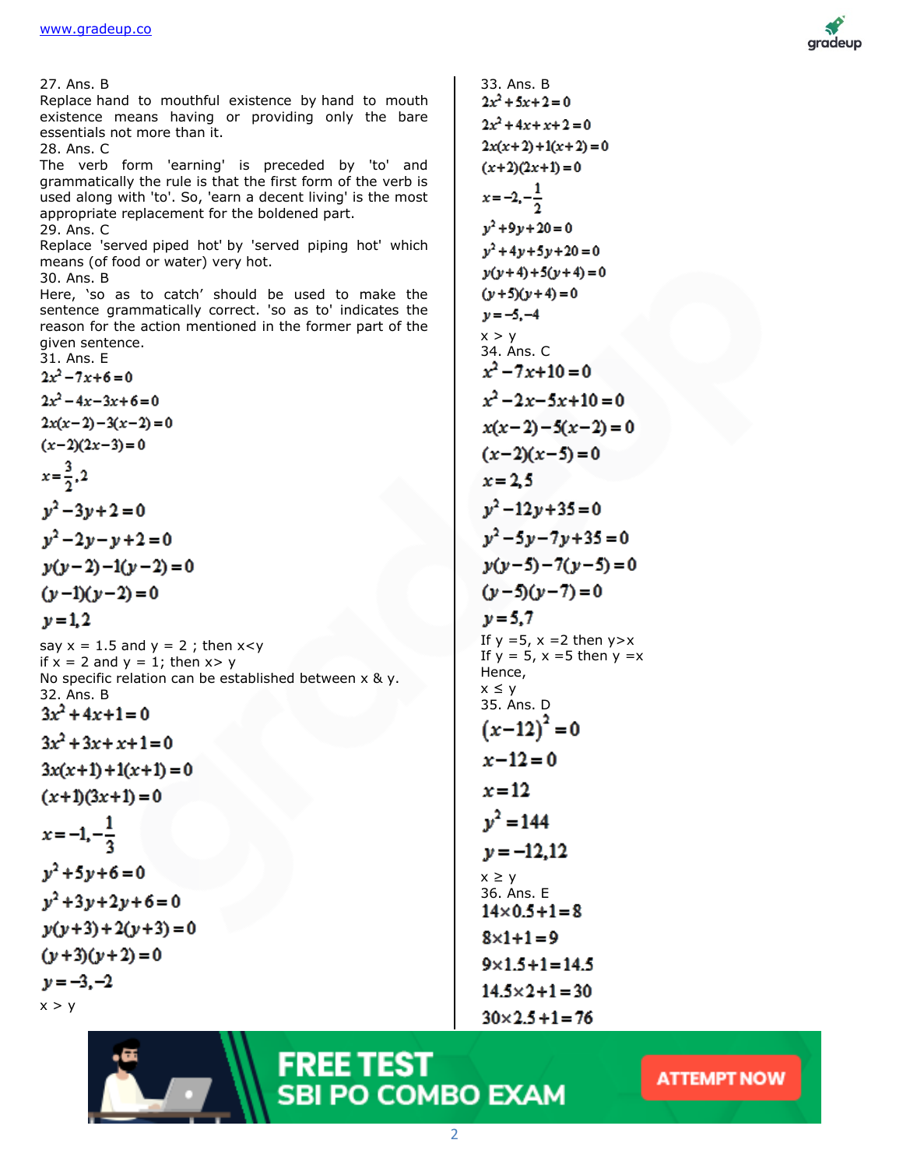

27. Ans. B Replace hand to mouthful existence by hand to mouth existence means having or providing only the bare essentials not more than it. 28. Ans. C The verb form 'earning' is preceded by 'to' and grammatically the rule is that the first form of the verb is used along with 'to'. So, 'earn a decent living' is the most appropriate replacement for the boldened part. 29. Ans. C Replace 'served piped hot' by 'served piping hot' which means (of food or water) very hot. 30. Ans. B Here, 'so as to catch' should be used to make the sentence grammatically correct. 'so as to' indicates the reason for the action mentioned in the former part of the given sentence. 31. Ans. E  $\overline{2}$  $\overline{2}$  $\overline{2}$ 6  $\mathbf{r}$ y J - 0 J

 $2x(x+2)+1(x+2)=0$  $(x+2)(2x+1)=0$  $x=-2, -\frac{1}{2}$  $y^2 + 9y + 20 = 0$  $y^2 + 4y + 5y + 20 = 0$  $y(y+4)+5(y+4)=0$  $(y+5)(y+4)=0$  $y = -5, -4$  $x > y$ 34. Ans. C  $x^2 - 7x + 10 = 0$  $x^2-2x-5x+10=0$  $x(x-2)-5(x-2)=0$  $(x-2)(x-5)=0$  $x = 2.5$  $y^2-12y+35=0$  $y^2-5y-7y+35=0$  $y(y-5)-7(y-5)=0$  $(y-5)(y-7)=0$  $v = 5.7$ If  $y = 5$ ,  $x = 2$  then  $y > x$ If  $y = 5$ ,  $x = 5$  then  $y = x$ Hence,  $x \leq y$ 35. Ans. D  $(x-12)^2=0$  $x - 12 = 0$  $x = 12$  $v^2 = 144$  $\nu = -12.12$  $x \geq y$ 36. Ans. E $14 \times 0.5 + 1 = 8$  $8 \times 1 + 1 = 9$  $9 \times 1.5 + 1 = 14.5$  $14.5 \times 2 + 1 = 30$ 

 $30 \times 2.5 + 1 = 76$ 

33. Ans. B

 $2x^2 + 5x + 2 = 0$  $2x^2+4x+x+2=0$ 

## **FREE TEST SBI PO COMBO EXAM**

ATTEMPT NOW

requence grammatic  
reason for the actor  
given sentence.  
31. Ans. E  

$$
2x^2-7x+6=0
$$
  
 $2x^2-4x-3x+6=0$   
 $2x(x-2)-3(x-2)=0$   
 $(x-2)(2x-3)=0$   
 $x=\frac{3}{2},2$   
 $y^2-3y+2=0$   
 $y^2-2y-y+2=0$   
 $y(y-2)-1(y-2)=0$ 

 $\nu = 1, 2$ 

say  $x = 1.5$  and  $y = 2$ ; then  $x < y$ if  $x = 2$  and  $y = 1$ ; then  $x > y$ No specific relation can be established between x & y. 32. Ans. B  $3x^2 + 4x + 1 = 0$  $3x^2 + 3x + x + 1 = 0$ 

 $3x(x+1) + 1(x+1) = 0$ 

 $(x+1)(3x+1) = 0$ 

$$
x=-1,-\frac{1}{3}
$$

 $y^2 + 5y + 6 = 0$  $v^2 + 3v + 2v + 6 = 0$  $y(y+3) + 2(y+3) = 0$  $(y+3)(y+2)=0$  $y = -3, -2$ 

 $x > y$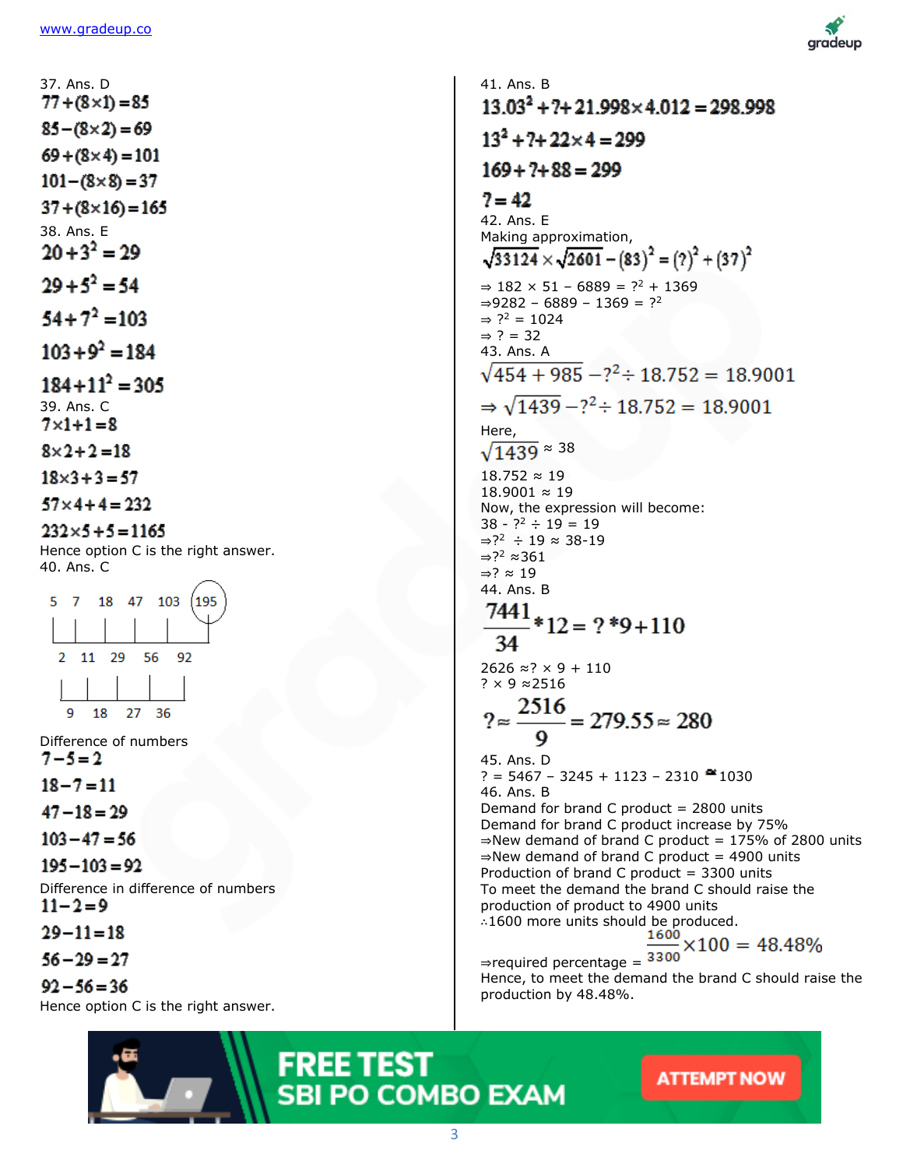37. Ans. D  $77 + (8 \times 1) = 85$  $85 - (8 \times 2) = 69$  $69 + (8 \times 4) = 101$  $101 - (8 \times 8) = 37$  $37 + (8 \times 16) = 165$ 38. Ans. E  $20 + 3^2 = 29$  $29 + 5^2 = 54$  $54 + 7^2 = 103$ 

 $103 + 9^2 = 184$ 

 $184 + 11^2 = 305$ 39. Ans. C  $7 \times 1 + 1 = 8$ 

 $8 \times 2 + 2 = 18$ 

 $18 \times 3 + 3 = 57$ 

 $57 \times 4 + 4 = 232$ 

 $232 \times 5 + 5 = 1165$ 

Hence option C is the right answer. 40. Ans. C



Difference of numbers  $7 - 5 = 2$ 

 $18 - 7 = 11$ 

 $47 - 18 = 29$ 

 $103 - 47 = 56$ 

 $195 - 103 = 92$ 

Difference in difference of numbers  $11 - 2 = 9$ 

 $29 - 11 = 18$ 

 $56 - 29 = 27$ 

 $92 - 56 = 36$ 

Hence option C is the right answer.



41. Ans. B  $13.03^{2} + 7 + 21.998 \times 4.012 = 298.998$  $13^2 + 7 + 22 \times 4 = 299$  $169 + ? + 88 = 299$  $7 = 42$ 42. Ans. E Making approximation,  $\sqrt{33124} \times \sqrt{2601} - (83)^2 = (2)^2 + (37)^2$  $\Rightarrow$  182 × 51 − 6889 = ?<sup>2</sup> + 1369  $\Rightarrow$ 9282 – 6889 – 1369 = ?<sup>2</sup>  $\Rightarrow$  ?<sup>2</sup> = 1024  $\Rightarrow$  ? = 32 43. Ans. A  $\sqrt{454 + 985} - 7^2 \div 18.752 = 18.9001$  $\Rightarrow \sqrt{1439} - ?^2 \div 18.752 = 18.9001$ Here,  $\sqrt{1439}$   $\approx$  38 18.752 ≈ 19 18.9001 ≈ 19 Now, the expression will become:  $38 - ?^2 \div 19 = 19$ ⇒? <sup>2</sup> ÷ 19 ≈ 38-19 ⇒? <sup>2</sup> ≈361 ⇒? ≈ 19 44. Ans. B  $\frac{7441}{34}*12 = ?*9+110$ 34  $2626 \approx ? \times 9 + 110$ ? × 9 ≈2516  $\frac{2516}{9}$  = 279.55  $\approx$  280 45. Ans. D ? = 5467 - 3245 + 1123 - 2310  $\approx$  1030 46. Ans. B Demand for brand C product  $= 2800$  units Demand for brand C product increase by 75%  $\Rightarrow$ New demand of brand C product = 175% of 2800 units ⇒New demand of brand C product = 4900 units Production of brand C product = 3300 units To meet the demand the brand C should raise the production of product to 4900 units ∴1600 more units should be produced. ⇒required percentage = Hence, to meet the demand the brand C should raise the production by 48.48%.

**FREE TEST SBI PO COMBO EXAM** 

ATTEMPT NOW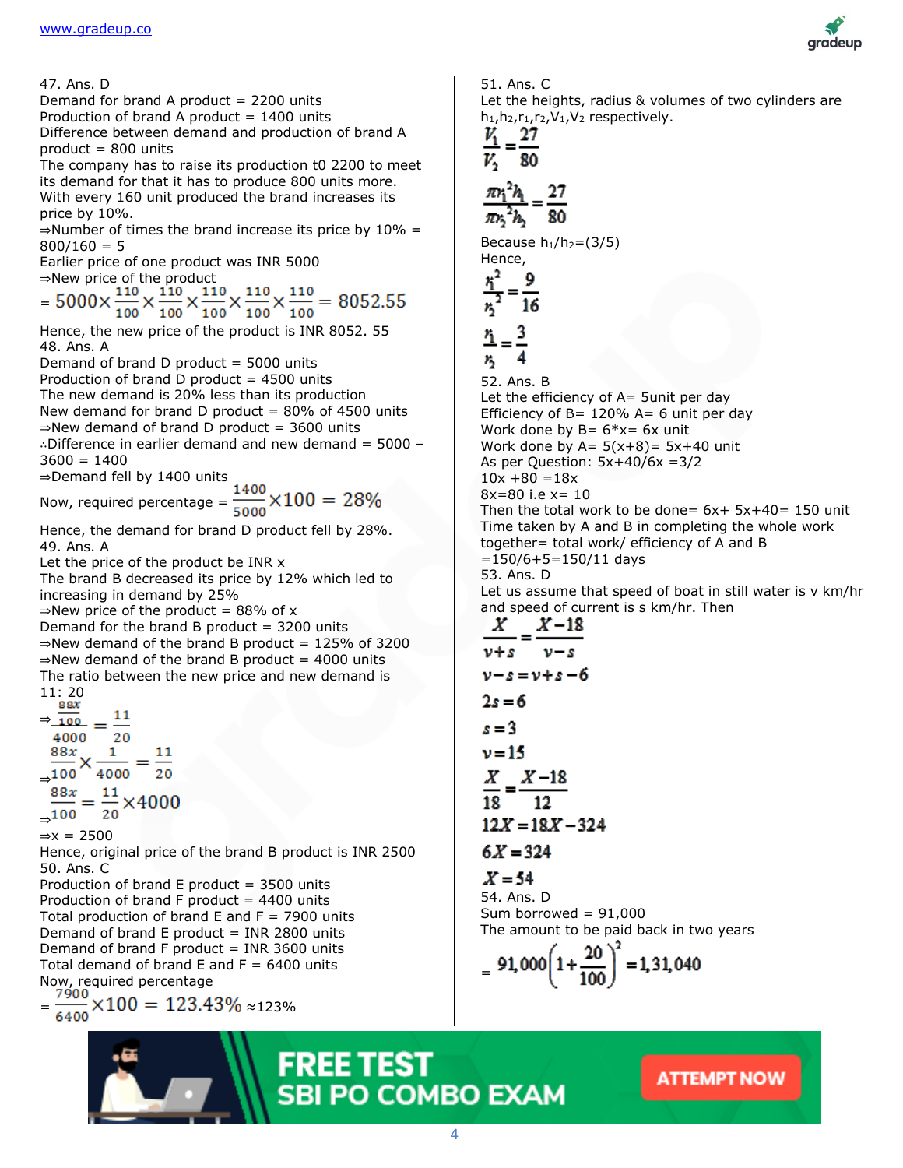47. Ans. D Demand for brand A product  $= 2200$  units Production of brand A product  $= 1400$  units Difference between demand and production of brand A product = 800 units The company has to raise its production t0 2200 to meet its demand for that it has to produce 800 units more. With every 160 unit produced the brand increases its price by 10%.  $\Rightarrow$  Number of times the brand increase its price by 10% =  $800/160 = 5$ Earlier price of one product was INR 5000 ⇒New price of the product = Hence, the new price of the product is INR 8052. 55 48. Ans. A Demand of brand D product  $=$  5000 units Production of brand  $D$  product = 4500 units The new demand is 20% less than its production New demand for brand D product =  $80\%$  of 4500 units  $\Rightarrow$ New demand of brand D product = 3600 units ∴Difference in earlier demand and new demand = 5000 –  $3600 = 1400$ ⇒Demand fell by 1400 units Now, required percentage =  $\frac{1400}{5000} \times 100 = 28\%$ Hence, the demand for brand D product fell by 28%. 49. Ans. A Let the price of the product be INR x The brand B decreased its price by 12% which led to increasing in demand by 25%  $\Rightarrow$ New price of the product = 88% of x Demand for the brand B product  $=$  3200 units  $\Rightarrow$ New demand of the brand B product = 125% of 3200  $\Rightarrow$ New demand of the brand B product = 4000 units The ratio between the new price and new demand is  $11:20$ <br>sax  $\Rightarrow \frac{1}{100} = \frac{11}{100}$ 4000  $20$  $X\frac{1}{4000} = \frac{11}{20}$  $88x$ ⇒ ⇒  $\Rightarrow$ x = 2500 Hence, original price of the brand B product is INR 2500 50. Ans. C Production of brand  $E$  product = 3500 units Production of brand F product  $= 4400$  units Total production of brand  $E$  and  $F = 7900$  units Demand of brand  $E$  product = INR 2800 units Demand of brand F product  $=$  INR 3600 units Total demand of brand  $E$  and  $F = 6400$  units Now, required percentage

 $=\frac{7900}{6400} \times 100 = 123.43\% \approx 123\%$ 

#### 51. Ans. C



Let the heights, radius & volumes of two cylinders are  $h_1,h_2,r_1,r_2,V_1,V_2$  respectively.

$$
\frac{V_1}{V_2}=\frac{27}{80}
$$

$$
\frac{\pi r_1^2 h_1}{\pi r_2^2 h_2} = \frac{27}{80}
$$

Because  $h_1/h_2 = (3/5)$ Hence,

$$
\frac{r_1^2}{r_2^2} = \frac{9}{16}
$$

$$
\underline{\mathbf{r}} = \underline{\mathbf{r}}
$$

75 52. Ans. B Let the efficiency of  $A=$  5unit per day Efficiency of  $B = 120\%$  A= 6 unit per day Work done by  $B = 6*x = 6x$  unit Work done by  $A = 5(x+8) = 5x+40$  unit As per Question:  $5x+40/6x = 3/2$  $10x + 80 = 18x$ 8x=80 i.e x= 10 Then the total work to be done=  $6x+ 5x+40= 150$  unit Time taken by A and B in completing the whole work together= total work/ efficiency of A and B  $=150/6+5=150/11$  days

53. Ans. D

Let us assume that speed of boat in still water is v km/hr and speed of current is s km/hr. Then

$$
\frac{X}{v+s} = \frac{X-18}{v-s}
$$
  
\n
$$
v-s = v+s-6
$$
  
\n
$$
2s = 6
$$
  
\n
$$
s = 3
$$
  
\n
$$
v = 15
$$
  
\n
$$
\frac{X}{18} = \frac{X-18}{12}
$$
  
\n
$$
12X = 18X - 324
$$

$$
6X=324
$$

$$
X=54
$$

54. Ans. D Sum borrowed  $= 91,000$ The amount to be paid back in two years

$$
= 91,000 \left(1 + \frac{20}{100}\right)^2 = 1,31,040
$$

### **FREE TEST SBI PO COMBO EXAM**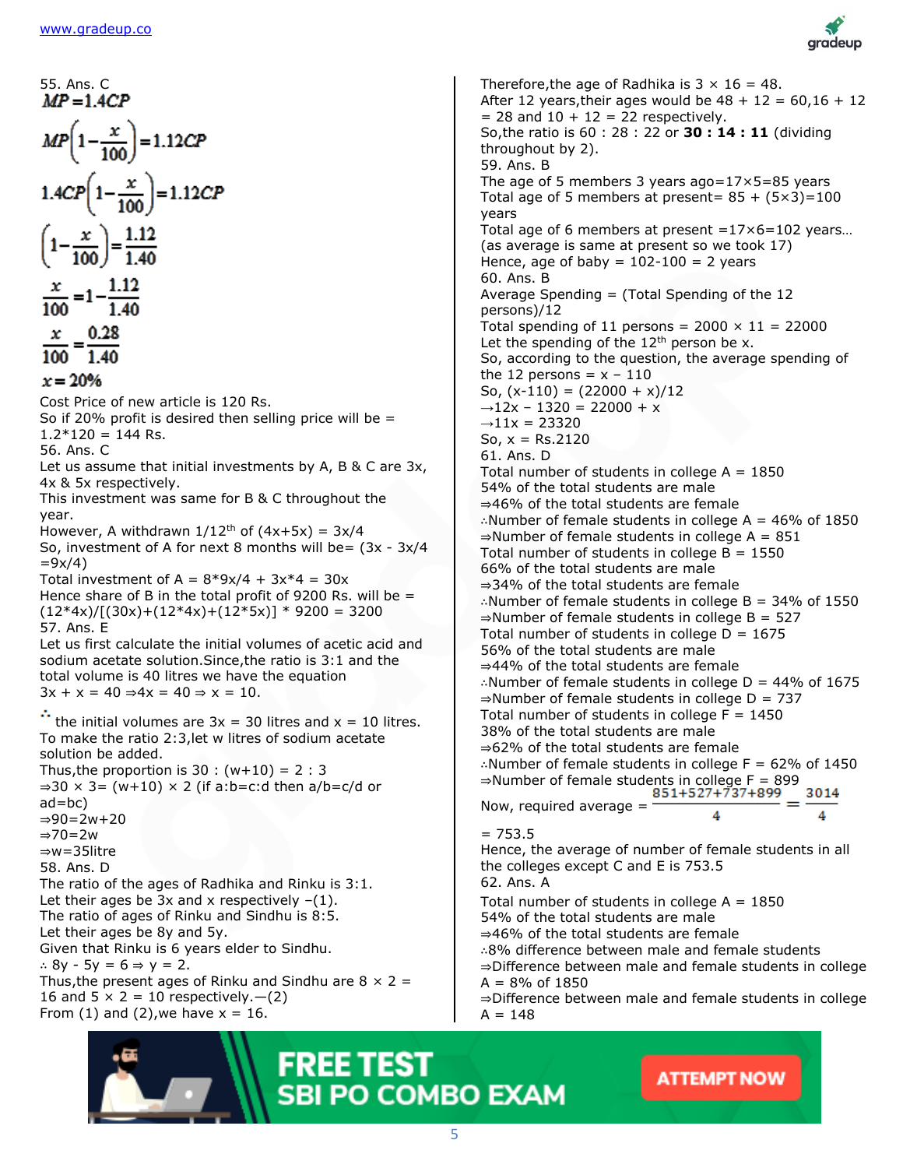

55. Ans. C  
\n
$$
MP = 1.4CP
$$
  
\n $1.4CP(1-\frac{x}{100}) = 1.12CP$   
\n $\left(1-\frac{x}{100}\right) = \frac{1.12}{1.40}$   
\n $\frac{x}{100} = \frac{1.12}{1.40}$   
\n $\frac{x}{100} = 1 - \frac{1.12}{1.40}$   
\n $\frac{x}{100} = \frac{0.28}{1.40}$   
\n $= 20%$   
\nCost Price of new article is 120 Rs.  
\nSo if 20% profit is desired then selling price will be =  
\n $1.2*120 = 144$  Rs.  
\nSo if 20% profit is desired then selling price will be =  
\n $1.2*120 = 144$  Rs.  
\nSo is respectively.  
\nThis investment was same for B & C throughout the  
\nyear.  
\nThis investment of A for next 8 months will be =  $(3x - 3x/4$   
\nSo, investment of A for next 8 months will be =  $(3x - 3x/4$   
\n $= 9x/4$ )  
\nTotal investment of A =  $8*9x/4 + 3x*4 = 30x$   
\nHence share of B in the total profit of 9200 Rs. will be =  
\n $(12*4x)/(130x)+(12*4x)+(12*5x)^3 \times 9200 = 3200$   
\n57. Ans. E  
\nLet us first  
\nIs out since the initial volumes of acetic acid and  
\nmodium acetate solution. Since, the ratio is 3:1 and the  
\ntotal volume is 40 litres we have the equation  
\n $3x + x = 40 \Rightarrow 4x = 40 \Rightarrow x = 10$ .  
\n $\therefore$  the initial volumes are  $3x = 30$  litres and  $x = 10$  litres.  
\nTo make the ratio 2:3, let w litres of sodium acetate  
\nsolution be added.  
\nThus, the proportion is 30 : (w+10) = 2 : 3  
\n $\Rightarrow 30 \times 3 = (w+10) \times 2$  (if a:b=c:d then a/b=c/d or  
\na-bc)  
\n $\Rightarrow 90=2w+20$   
\n $\Rightarrow 90=2w+20$   
\n

From (1) and (2), we have  $x = 16$ .

#### Therefore, the age of Radhika is  $3 \times 16 = 48$ . After 12 years, their ages would be  $48 + 12 = 60,16 + 12$  $= 28$  and  $10 + 12 = 22$  respectively. So,the ratio is 60 : 28 : 22 or **30 : 14 : 11** (dividing throughout by 2). 59. Ans. B The age of 5 members 3 years ago=17×5=85 years Total age of 5 members at present =  $85 + (5 \times 3) = 100$ years Total age of 6 members at present  $=17\times6=102$  years... (as average is same at present so we took 17) Hence, age of baby =  $102-100 = 2$  years 60. Ans. B Average Spending  $=$  (Total Spending of the 12 persons)/12 Total spending of 11 persons =  $2000 \times 11 = 22000$ Let the spending of the  $12<sup>th</sup>$  person be x. So, according to the question, the average spending of the 12 persons =  $x - 110$ So,  $(x-110) = (22000 + x)/12$  $\rightarrow$ 12x – 1320 = 22000 + x  $\rightarrow$ 11x = 23320 So,  $x = Rs.2120$ 61. Ans. D Total number of students in college  $A = 1850$ 54% of the total students are male ⇒46% of the total students are female ∴Number of female students in college A = 46% of 1850  $\Rightarrow$ Number of female students in college A = 851 Total number of students in college  $B = 1550$ 66% of the total students are male ⇒34% of the total students are female ∴Number of female students in college B = 34% of 1550  $\Rightarrow$  Number of female students in college B = 527 Total number of students in college  $D = 1675$ 56% of the total students are male ⇒44% of the total students are female ∴Number of female students in college D = 44% of 1675  $\Rightarrow$  Number of female students in college D = 737 Total number of students in college  $F = 1450$ 38% of the total students are male ⇒62% of the total students are female ∴Number of female students in college F = 62% of 1450 ⇒Number of female students in college F = 899 3014 Now, required average  $=$ 4  $= 753.5$ Hence, the average of number of female students in all the colleges except C and E is 753.5

62. Ans. A

Total number of students in college  $A = 1850$ 54% of the total students are male ⇒46% of the total students are female ∴8% difference between male and female students ⇒Difference between male and female students in college  $A = 8%$  of 1850 ⇒Difference between male and female students in college

 $A = 148$ 

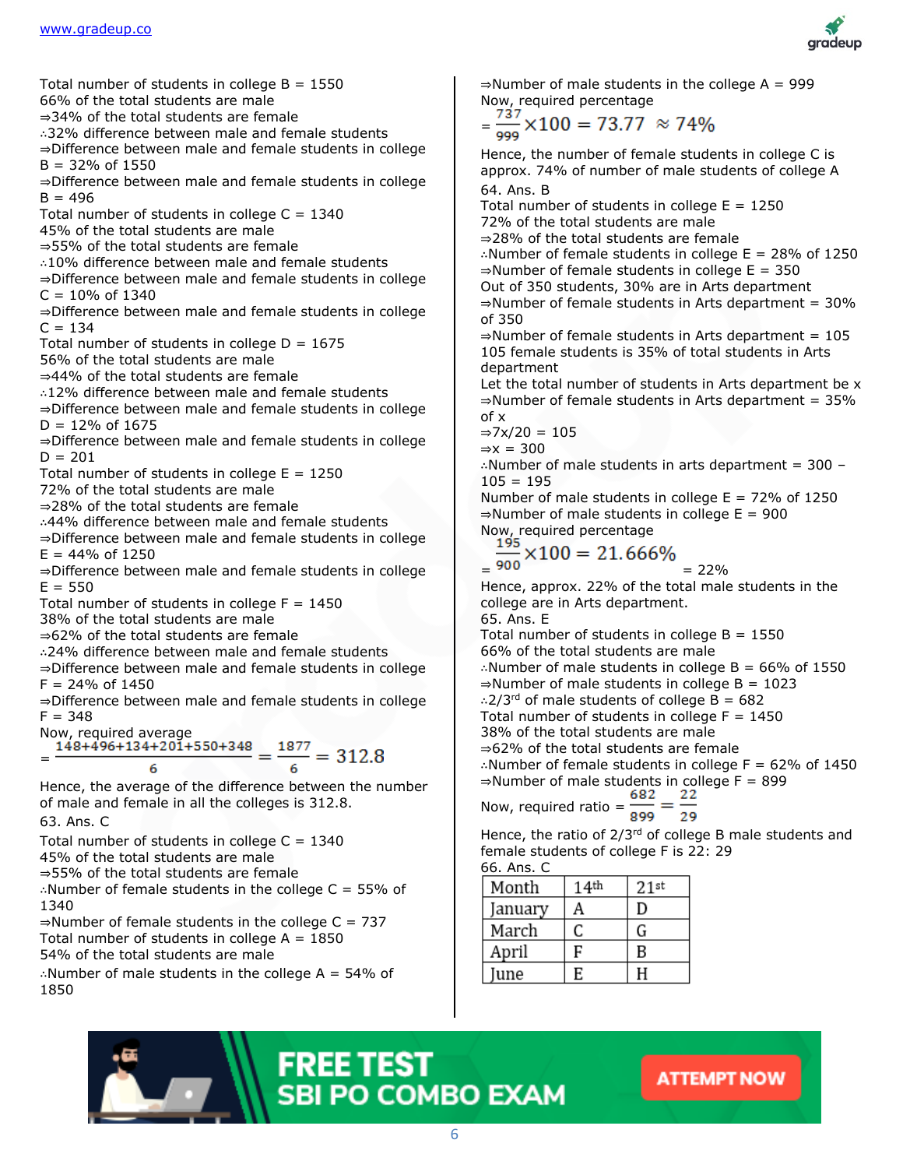

Total number of students in college  $B = 1550$ 

66% of the total students are male

⇒34% of the total students are female

∴32% difference between male and female students

⇒Difference between male and female students in college  $B = 32%$  of 1550

⇒Difference between male and female students in college  $B = 496$ 

Total number of students in college  $C = 1340$ 

45% of the total students are male

⇒55% of the total students are female

∴10% difference between male and female students

⇒Difference between male and female students in college  $C = 10\% \text{ of } 1340$ 

⇒Difference between male and female students in college  $C = 134$ 

Total number of students in college  $D = 1675$ 

56% of the total students are male

⇒44% of the total students are female

∴12% difference between male and female students

⇒Difference between male and female students in college  $D = 12\%$  of 1675

⇒Difference between male and female students in college  $D = 201$ 

Total number of students in college  $E = 1250$ 

72% of the total students are male

⇒28% of the total students are female

∴44% difference between male and female students

⇒Difference between male and female students in college  $E = 44\%$  of 1250

⇒Difference between male and female students in college  $E = 550$ 

Total number of students in college  $F = 1450$ 

38% of the total students are male

⇒62% of the total students are female

∴24% difference between male and female students

⇒Difference between male and female students in college  $F = 24\%$  of 1450

⇒Difference between male and female students in college  $F = 348$ 

Now, required average<br>=  $\frac{148+496+134+201+550+348}{6} = \frac{1877}{6} = 312.8$ =

Hence, the average of the difference between the number of male and female in all the colleges is 312.8.

63. Ans. C

Total number of students in college  $C = 1340$ 

45% of the total students are male

⇒55% of the total students are female

∴Number of female students in the college C = 55% of 1340

 $\Rightarrow$  Number of female students in the college C = 737 Total number of students in college  $A = 1850$ 54% of the total students are male

∴Number of male students in the college A = 54% of 1850

 $\Rightarrow$ Number of male students in the college A = 999 Now, required percentage

$$
=\frac{737}{999} \times 100 = 73.77 \approx 74\%
$$

Hence, the number of female students in college C is approx. 74% of number of male students of college A 64. Ans. B

Total number of students in college  $E = 1250$ 72% of the total students are male ⇒28% of the total students are female ∴Number of female students in college E = 28% of 1250  $\Rightarrow$ Number of female students in college E = 350 Out of 350 students, 30% are in Arts department  $\Rightarrow$ Number of female students in Arts department = 30% of 350  $\Rightarrow$  Number of female students in Arts department = 105

105 female students is 35% of total students in Arts department

Let the total number of students in Arts department be x ⇒Number of female students in Arts department = 35% of x

 $\Rightarrow$ 7x/20 = 105

 $\Rightarrow$ x = 300

∴Number of male students in arts department = 300 –  $105 = 195$ 

Number of male students in college  $E = 72\%$  of 1250  $\Rightarrow$  Number of male students in college E = 900 Now, required percentage

$$
\frac{195}{200} \times 100 = 21.666\%
$$

$$
= \frac{900}{22\%} = 22\%
$$

Hence, approx. 22% of the total male students in the college are in Arts department.

65. Ans. E

Total number of students in college  $B = 1550$ 66% of the total students are male ∴Number of male students in college B = 66% of 1550  $\Rightarrow$  Number of male students in college B = 1023 ∴2/3<sup>rd</sup> of male students of college B = 682 Total number of students in college  $F = 1450$ 38% of the total students are male ⇒62% of the total students are female ∴Number of female students in college F = 62% of 1450 ⇒Number of male students in college  $F = 899$ <br>682 22

-22 Now, required ratio =  $\frac{382}{899}$  = 29

Hence, the ratio of  $2/3^{rd}$  of college B male students and female students of college F is 22: 29 66. Ans. C

| Month   | 14 <sup>th</sup> | 21st |
|---------|------------------|------|
| January | А                | D    |
| March   | C                | G    |
| April   | F                | B    |
| une     | E                | H    |

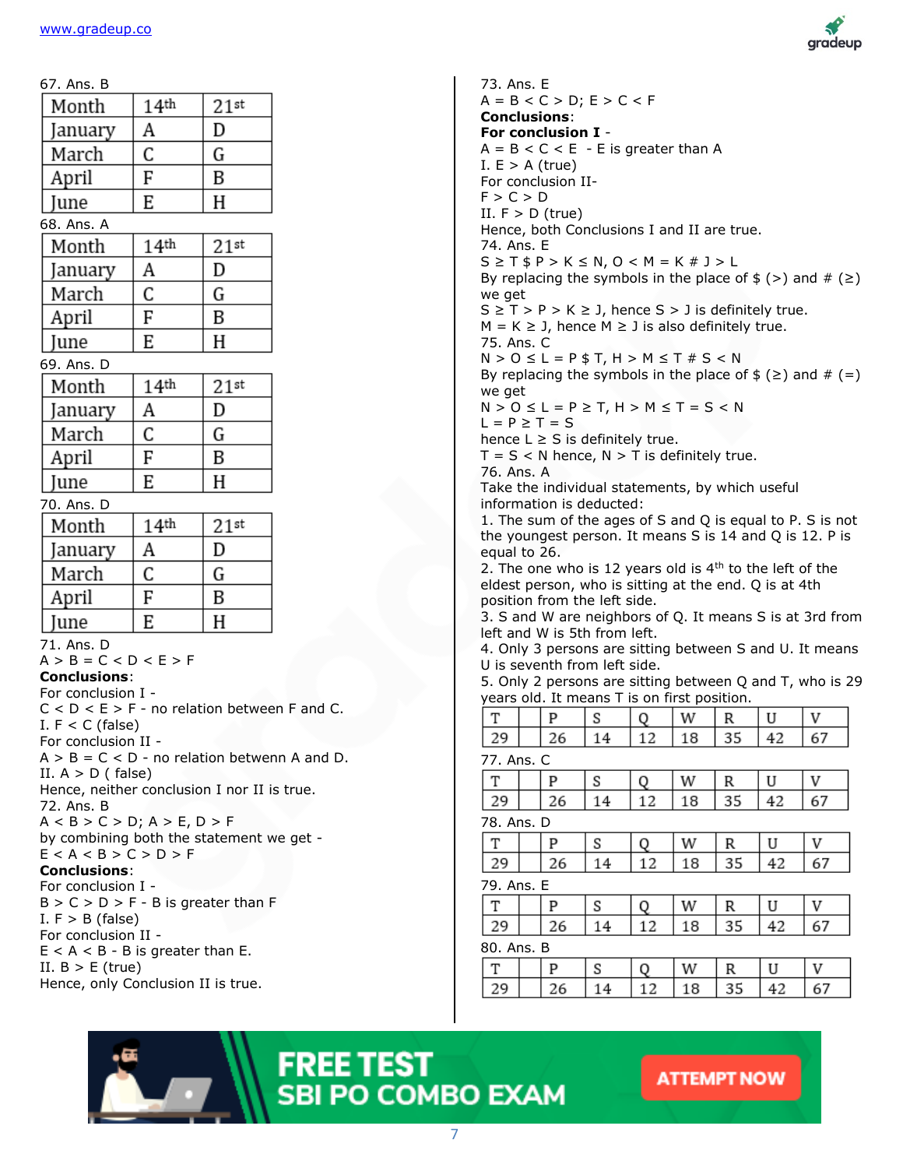| 67. Ans. B                                                        |                  |         |  |
|-------------------------------------------------------------------|------------------|---------|--|
| Month                                                             | 14 <sup>th</sup> | $21$ st |  |
| January                                                           | A                | D       |  |
| March                                                             | C                | G       |  |
| April                                                             | F                | B       |  |
| June                                                              | E                | Н       |  |
| 68. Ans. A                                                        |                  |         |  |
| Month                                                             | 14 <sup>th</sup> | $21$ st |  |
| January                                                           | A                | D       |  |
| March                                                             | C                | G       |  |
| April                                                             | F                | B       |  |
| June                                                              | E                | Η       |  |
| 69. Ans. D                                                        |                  |         |  |
| Month                                                             | 14 <sup>th</sup> | $21$ st |  |
| January                                                           | A                | D       |  |
| March                                                             | C                | G       |  |
| April                                                             | F                | В       |  |
| June                                                              | E                | Н       |  |
| 70. Ans. D                                                        |                  |         |  |
| Month                                                             | 14 <sup>th</sup> | $21$ st |  |
| January                                                           | A                | D       |  |
| March                                                             | C                | G       |  |
| April                                                             | F                | B       |  |
| June                                                              | E                | H       |  |
| 71. Ans. D                                                        |                  |         |  |
| $A > B = C < D < E > F$<br><b>Conclusions:</b>                    |                  |         |  |
| For conclusion I -                                                |                  |         |  |
| $C < D < E > F$ - no relation between F and C.                    |                  |         |  |
| I. $F < C$ (false)<br>For conclusion II -                         |                  |         |  |
| $A > B = C < D$ - no relation betwenn A and D.                    |                  |         |  |
| II. $A > D$ (false)                                               |                  |         |  |
| Hence, neither conclusion I nor II is true.<br>72. Ans. B         |                  |         |  |
| $A < B > C > D$ ; $A > E$ , $D > F$                               |                  |         |  |
| by combining both the statement we get -<br>E < A < B > C > D > F |                  |         |  |
| <b>Conclusions:</b>                                               |                  |         |  |
| For conclusion I -                                                |                  |         |  |
| $B > C > D > F - B$ is greater than F                             |                  |         |  |
| I. $F > B$ (false)<br>For conclusion II -                         |                  |         |  |
| $E < A < B - B$ is greater than E.                                |                  |         |  |
| II. $B > E$ (true)<br>Hence, only Conclusion II is true.          |                  |         |  |
|                                                                   |                  |         |  |



73. Ans. E  $A = B < C > D$ ;  $E > C < F$ **Conclusions**: **For conclusion I** -  $A = B < C < E - E$  is greater than A I.  $E > A$  (true) For conclusion II- $F > C > D$ II.  $F > D$  (true) Hence, both Conclusions I and II are true. 74. Ans. E  $S \geq T$  \$ P > K  $\leq$  N, O < M = K # J > L By replacing the symbols in the place of  $\frac{1}{2}$  (>) and  $\frac{1}{2}$  ( $\geq$ ) we get  $S \geq T > P > K \geq J$ , hence  $S > J$  is definitely true.  $M = K \geq J$ , hence  $M \geq J$  is also definitely true. 75. Ans. C  $N > 0 \le L = P$  \$ T, H  $> M \le T$  # S < N By replacing the symbols in the place of  $\frac{1}{2}$  ( $\geq$ ) and  $\frac{1}{2}$  (=) we get  $N > 0 \le L = P \ge T$ ,  $H > M \le T = S < N$  $L = P \geq T = S$ hence  $L \geq S$  is definitely true.  $T = S < N$  hence,  $N > T$  is definitely true. 76. Ans. A Take the individual statements, by which useful information is deducted: 1. The sum of the ages of S and Q is equal to P. S is not the youngest person. It means S is 14 and Q is 12. P is equal to 26. 2. The one who is 12 years old is  $4<sup>th</sup>$  to the left of the eldest person, who is sitting at the end. Q is at 4th position from the left side. 3. S and W are neighbors of Q. It means S is at 3rd from left and W is 5th from left. 4. Only 3 persons are sitting between S and U. It means U is seventh from left side. 5. Only 2 persons are sitting between Q and T, who is 29 years old. It means T is on first position. T P W U V S O R 29 26 14 12 18 35 42 67 77. Ans. C T P U V S W R Q 29 26 14 12 18 35 42 67 78. Ans. D T P V S W R U O 29 26 14 12 18 35 42 67 79. Ans. E T P S Q W R U V 29 26 14 12 42 67 18 35 80. Ans. BT P S W R U V O 29 26 14 12 18 35 42 67

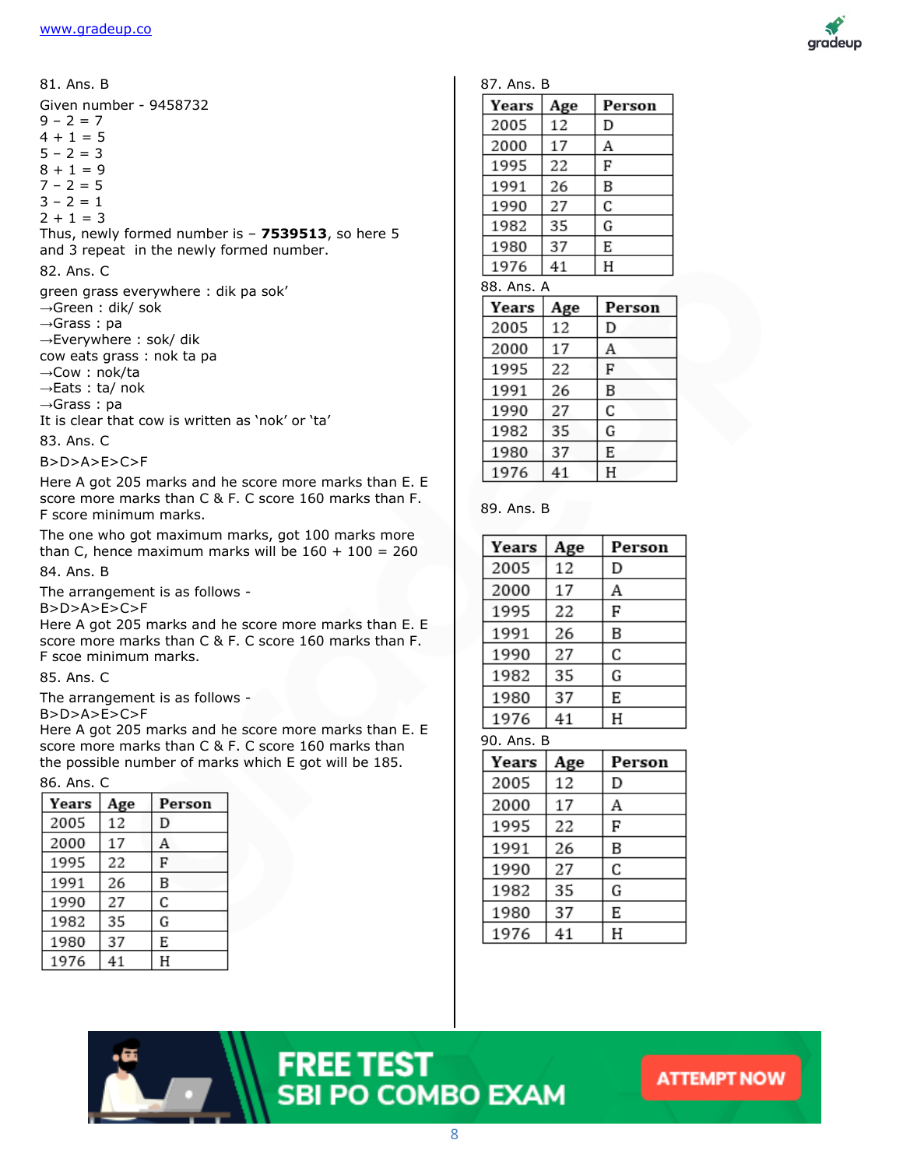

83. Ans. C

B>D>A>E>C>F

Here A got 205 marks and he score more marks than E. E score more marks than C & F. C score 160 marks than F. F score minimum marks.

The one who got maximum marks, got 100 marks more than C, hence maximum marks will be  $160 + 100 = 260$ 

84. Ans. B

The arrangement is as follows -

B>D>A>E>C>F

Here A got 205 marks and he score more marks than E. E score more marks than C & F. C score 160 marks than F. F scoe minimum marks.

85. Ans. C

The arrangement is as follows -

B>D>A>E>C>F

Here A got 205 marks and he score more marks than E. E score more marks than C & F. C score 160 marks than the possible number of marks which E got will be 185.

#### 86. Ans. C

| Years | Age | Person |  |
|-------|-----|--------|--|
| 2005  | 12  | D      |  |
| 2000  | 17  | Α      |  |
| 1995  | 22  | F      |  |
| 1991  | 26  | B      |  |
| 1990  | 27  | C      |  |
| 1982  | 35  | G      |  |
| 1980  | 37  | E      |  |
| 1976  | 41  | Н      |  |



#### 89. Ans. B

| Years | Age | Person |
|-------|-----|--------|
| 2005  | 12  | D      |
| 2000  | 17  | А      |
| 1995  | 22  | F      |
| 1991  | 26  | В      |
| 1990  | 27  | C      |
| 1982  | 35  | G      |
| 1980  | 37  | E      |
| 1976  | 41  | Η      |

90. Ans. B

| Years | Age | Person |
|-------|-----|--------|
| 2005  | 12  | D      |
| 2000  | 17  | А      |
| 1995  | 22  | F      |
| 1991  | 26  | B      |
| 1990  | 27  | C      |
| 1982  | 35  | G      |
| 1980  | 37  | E      |
| 1976  | 41  | Н      |

## **FREE TEST SBI PO COMBO EXAM**

#### **ATTEMPT NOW**